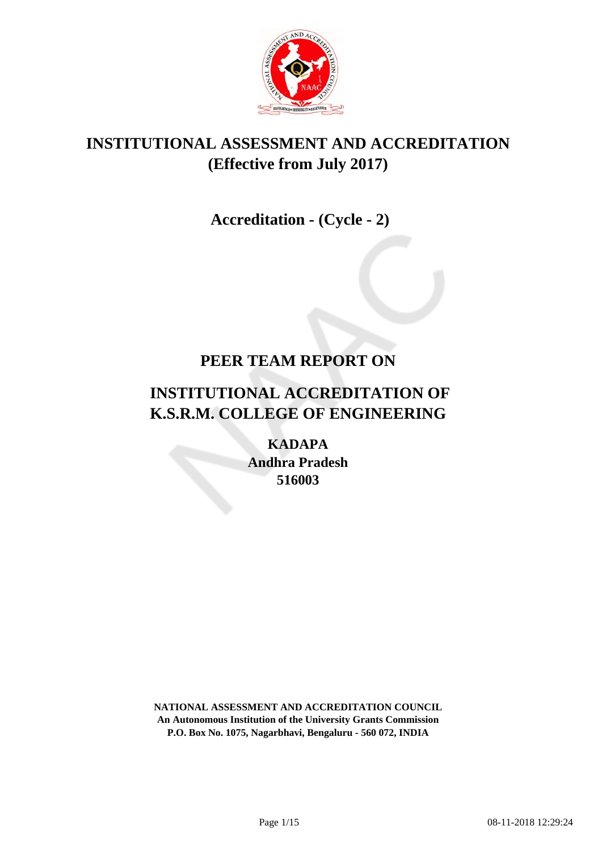

## **INSTITUTIONAL ASSESSMENT AND ACCREDITATION (Effective from July 2017)**

 **Accreditation - (Cycle - 2)**

## **PEER TEAM REPORT ON**

# **INSTITUTIONAL ACCREDITATION OF K.S.R.M. COLLEGE OF ENGINEERING**

**KADAPA Andhra Pradesh 516003**

**NATIONAL ASSESSMENT AND ACCREDITATION COUNCIL An Autonomous Institution of the University Grants Commission P.O. Box No. 1075, Nagarbhavi, Bengaluru - 560 072, INDIA**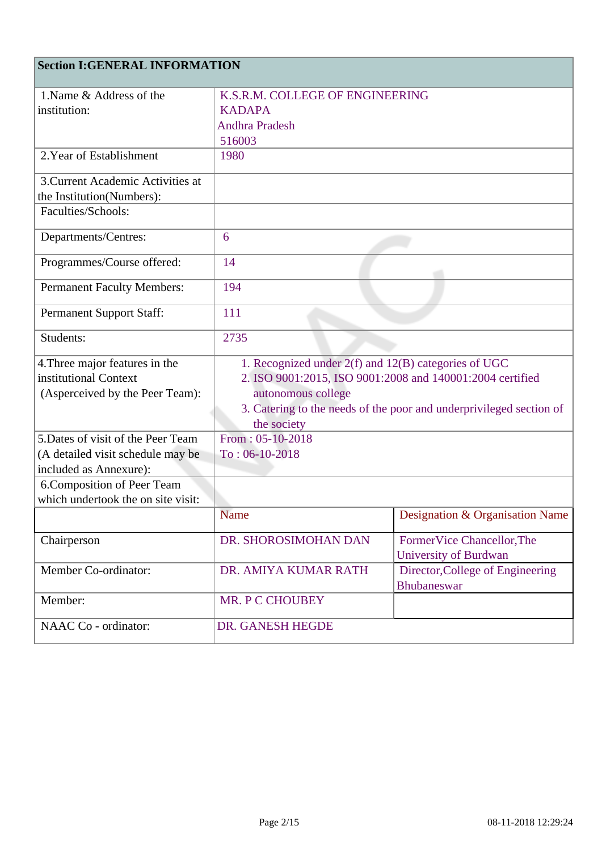## **Section I:GENERAL INFORMATION**

| 1. Name & Address of the           | K.S.R.M. COLLEGE OF ENGINEERING                                     |                                                 |  |
|------------------------------------|---------------------------------------------------------------------|-------------------------------------------------|--|
| institution:                       | <b>KADAPA</b>                                                       |                                                 |  |
|                                    | <b>Andhra Pradesh</b>                                               |                                                 |  |
|                                    | 516003                                                              |                                                 |  |
| 2. Year of Establishment           | 1980                                                                |                                                 |  |
| 3. Current Academic Activities at  |                                                                     |                                                 |  |
| the Institution(Numbers):          |                                                                     |                                                 |  |
| Faculties/Schools:                 |                                                                     |                                                 |  |
| Departments/Centres:               | 6                                                                   |                                                 |  |
| Programmes/Course offered:         | 14                                                                  |                                                 |  |
| <b>Permanent Faculty Members:</b>  | 194                                                                 |                                                 |  |
| <b>Permanent Support Staff:</b>    | 111                                                                 |                                                 |  |
| Students:                          | 2735                                                                |                                                 |  |
| 4. Three major features in the     | 1. Recognized under 2(f) and 12(B) categories of UGC                |                                                 |  |
| institutional Context              | 2. ISO 9001:2015, ISO 9001:2008 and 140001:2004 certified           |                                                 |  |
| (Asperceived by the Peer Team):    | autonomous college                                                  |                                                 |  |
|                                    | 3. Catering to the needs of the poor and underprivileged section of |                                                 |  |
|                                    | the society                                                         |                                                 |  |
| 5. Dates of visit of the Peer Team | From: $05-10-2018$                                                  |                                                 |  |
| (A detailed visit schedule may be  | $To: 06-10-2018$                                                    |                                                 |  |
| included as Annexure):             |                                                                     |                                                 |  |
| 6. Composition of Peer Team        |                                                                     |                                                 |  |
| which undertook the on site visit: |                                                                     |                                                 |  |
|                                    | <b>Name</b>                                                         | Designation & Organisation Name                 |  |
| Chairperson                        | DR. SHOROSIMOHAN DAN                                                | FormerVice Chancellor, The                      |  |
|                                    |                                                                     | <b>University of Burdwan</b>                    |  |
| Member Co-ordinator:               | DR. AMIYA KUMAR RATH                                                | Director, College of Engineering<br>Bhubaneswar |  |
| Member:                            | MR. P C CHOUBEY                                                     |                                                 |  |
| NAAC Co - ordinator:               | DR. GANESH HEGDE                                                    |                                                 |  |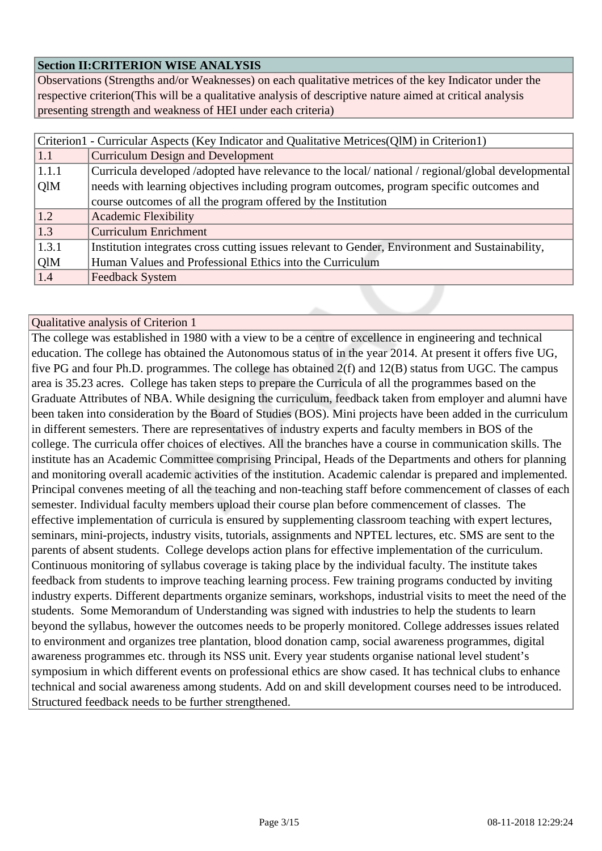### **Section II:CRITERION WISE ANALYSIS**

Observations (Strengths and/or Weaknesses) on each qualitative metrices of the key Indicator under the respective criterion(This will be a qualitative analysis of descriptive nature aimed at critical analysis presenting strength and weakness of HEI under each criteria)

|                                                                                                             | Criterion1 - Curricular Aspects (Key Indicator and Qualitative Metrices(QlM) in Criterion1)     |  |  |
|-------------------------------------------------------------------------------------------------------------|-------------------------------------------------------------------------------------------------|--|--|
| 1.1                                                                                                         | <b>Curriculum Design and Development</b>                                                        |  |  |
| Curricula developed /adopted have relevance to the local/ national / regional/global developmental<br>1.1.1 |                                                                                                 |  |  |
| OlM                                                                                                         | needs with learning objectives including program outcomes, program specific outcomes and        |  |  |
|                                                                                                             | course outcomes of all the program offered by the Institution                                   |  |  |
| 1.2                                                                                                         | <b>Academic Flexibility</b>                                                                     |  |  |
| 1.3                                                                                                         | <b>Curriculum Enrichment</b>                                                                    |  |  |
| 1.3.1                                                                                                       | Institution integrates cross cutting issues relevant to Gender, Environment and Sustainability, |  |  |
| QlM                                                                                                         | Human Values and Professional Ethics into the Curriculum                                        |  |  |
| 1.4                                                                                                         | <b>Feedback System</b>                                                                          |  |  |

#### Qualitative analysis of Criterion 1

The college was established in 1980 with a view to be a centre of excellence in engineering and technical education. The college has obtained the Autonomous status of in the year 2014. At present it offers five UG, five PG and four Ph.D. programmes. The college has obtained 2(f) and 12(B) status from UGC. The campus area is 35.23 acres. College has taken steps to prepare the Curricula of all the programmes based on the Graduate Attributes of NBA. While designing the curriculum, feedback taken from employer and alumni have been taken into consideration by the Board of Studies (BOS). Mini projects have been added in the curriculum in different semesters. There are representatives of industry experts and faculty members in BOS of the college. The curricula offer choices of electives. All the branches have a course in communication skills. The institute has an Academic Committee comprising Principal, Heads of the Departments and others for planning and monitoring overall academic activities of the institution. Academic calendar is prepared and implemented. Principal convenes meeting of all the teaching and non-teaching staff before commencement of classes of each semester. Individual faculty members upload their course plan before commencement of classes. The effective implementation of curricula is ensured by supplementing classroom teaching with expert lectures, seminars, mini-projects, industry visits, tutorials, assignments and NPTEL lectures, etc. SMS are sent to the parents of absent students. College develops action plans for effective implementation of the curriculum. Continuous monitoring of syllabus coverage is taking place by the individual faculty. The institute takes feedback from students to improve teaching learning process. Few training programs conducted by inviting industry experts. Different departments organize seminars, workshops, industrial visits to meet the need of the students. Some Memorandum of Understanding was signed with industries to help the students to learn beyond the syllabus, however the outcomes needs to be properly monitored. College addresses issues related to environment and organizes tree plantation, blood donation camp, social awareness programmes, digital awareness programmes etc. through its NSS unit. Every year students organise national level student's symposium in which different events on professional ethics are show cased. It has technical clubs to enhance technical and social awareness among students. Add on and skill development courses need to be introduced. Structured feedback needs to be further strengthened.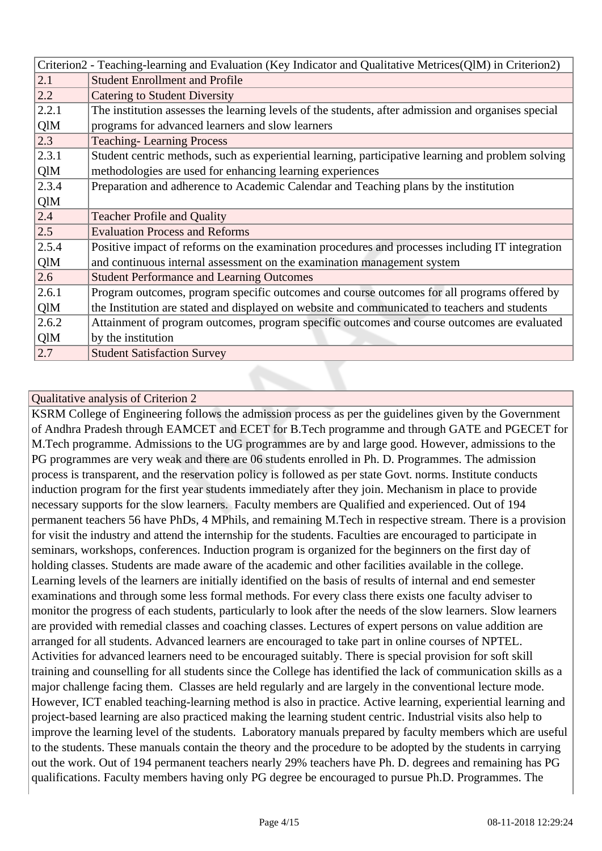|                                                                  | Criterion2 - Teaching-learning and Evaluation (Key Indicator and Qualitative Metrices(QlM) in Criterion2) |  |  |
|------------------------------------------------------------------|-----------------------------------------------------------------------------------------------------------|--|--|
| 2.1                                                              | <b>Student Enrollment and Profile</b>                                                                     |  |  |
| 2.2                                                              | <b>Catering to Student Diversity</b>                                                                      |  |  |
| 2.2.1                                                            | The institution assesses the learning levels of the students, after admission and organises special       |  |  |
| QlM                                                              | programs for advanced learners and slow learners                                                          |  |  |
| 2.3                                                              | <b>Teaching-Learning Process</b>                                                                          |  |  |
| 2.3.1                                                            | Student centric methods, such as experiential learning, participative learning and problem solving        |  |  |
| QlM<br>methodologies are used for enhancing learning experiences |                                                                                                           |  |  |
| 2.3.4                                                            | Preparation and adherence to Academic Calendar and Teaching plans by the institution                      |  |  |
| QlM                                                              |                                                                                                           |  |  |
| 2.4                                                              | <b>Teacher Profile and Quality</b>                                                                        |  |  |
| 2.5                                                              | <b>Evaluation Process and Reforms</b>                                                                     |  |  |
| 2.5.4                                                            | Positive impact of reforms on the examination procedures and processes including IT integration           |  |  |
| QlM                                                              | and continuous internal assessment on the examination management system                                   |  |  |
| 2.6                                                              | <b>Student Performance and Learning Outcomes</b>                                                          |  |  |
| 2.6.1                                                            | Program outcomes, program specific outcomes and course outcomes for all programs offered by               |  |  |
| QlM                                                              | the Institution are stated and displayed on website and communicated to teachers and students             |  |  |
| 2.6.2                                                            | Attainment of program outcomes, program specific outcomes and course outcomes are evaluated               |  |  |
| QlM                                                              | by the institution                                                                                        |  |  |
| 2.7                                                              |                                                                                                           |  |  |

KSRM College of Engineering follows the admission process as per the guidelines given by the Government of Andhra Pradesh through EAMCET and ECET for B.Tech programme and through GATE and PGECET for M.Tech programme. Admissions to the UG programmes are by and large good. However, admissions to the PG programmes are very weak and there are 06 students enrolled in Ph. D. Programmes. The admission process is transparent, and the reservation policy is followed as per state Govt. norms. Institute conducts induction program for the first year students immediately after they join. Mechanism in place to provide necessary supports for the slow learners. Faculty members are Qualified and experienced. Out of 194 permanent teachers 56 have PhDs, 4 MPhils, and remaining M.Tech in respective stream. There is a provision for visit the industry and attend the internship for the students. Faculties are encouraged to participate in seminars, workshops, conferences. Induction program is organized for the beginners on the first day of holding classes. Students are made aware of the academic and other facilities available in the college. Learning levels of the learners are initially identified on the basis of results of internal and end semester examinations and through some less formal methods. For every class there exists one faculty adviser to monitor the progress of each students, particularly to look after the needs of the slow learners. Slow learners are provided with remedial classes and coaching classes. Lectures of expert persons on value addition are arranged for all students. Advanced learners are encouraged to take part in online courses of NPTEL. Activities for advanced learners need to be encouraged suitably. There is special provision for soft skill training and counselling for all students since the College has identified the lack of communication skills as a major challenge facing them. Classes are held regularly and are largely in the conventional lecture mode. However, ICT enabled teaching-learning method is also in practice. Active learning, experiential learning and project-based learning are also practiced making the learning student centric. Industrial visits also help to improve the learning level of the students. Laboratory manuals prepared by faculty members which are useful to the students. These manuals contain the theory and the procedure to be adopted by the students in carrying out the work. Out of 194 permanent teachers nearly 29% teachers have Ph. D. degrees and remaining has PG qualifications. Faculty members having only PG degree be encouraged to pursue Ph.D. Programmes. The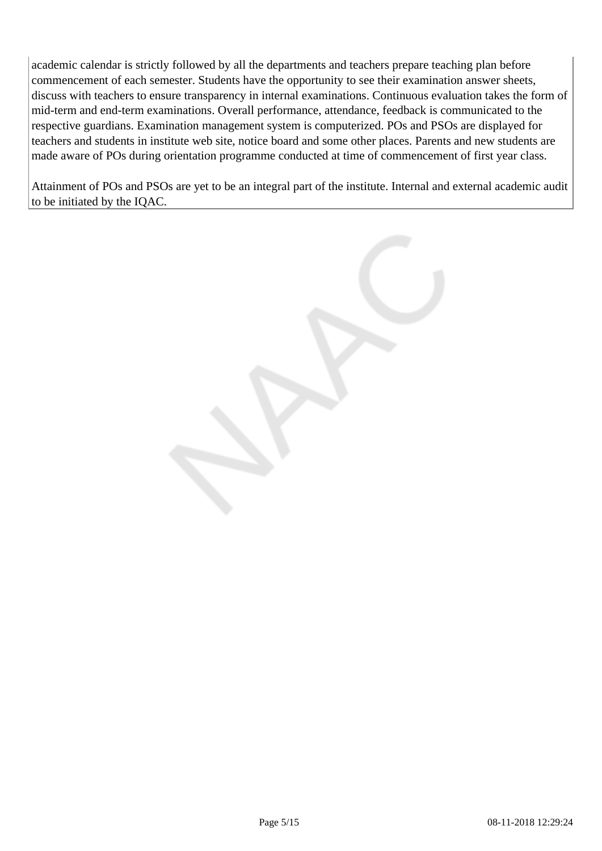academic calendar is strictly followed by all the departments and teachers prepare teaching plan before commencement of each semester. Students have the opportunity to see their examination answer sheets, discuss with teachers to ensure transparency in internal examinations. Continuous evaluation takes the form of mid-term and end-term examinations. Overall performance, attendance, feedback is communicated to the respective guardians. Examination management system is computerized. POs and PSOs are displayed for teachers and students in institute web site, notice board and some other places. Parents and new students are made aware of POs during orientation programme conducted at time of commencement of first year class.

Attainment of POs and PSOs are yet to be an integral part of the institute. Internal and external academic audit to be initiated by the IQAC.

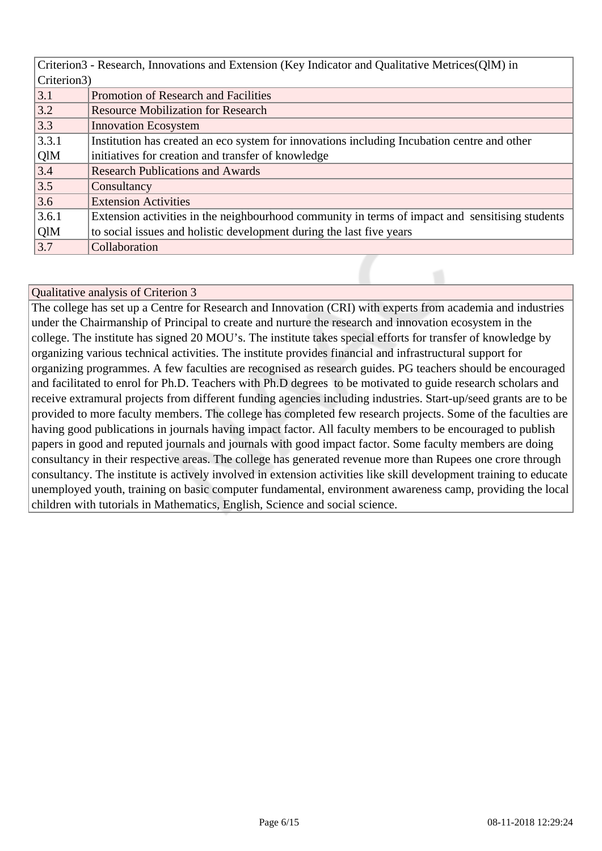| Criterion3 - Research, Innovations and Extension (Key Indicator and Qualitative Metrices (QIM) in |                                                                                                 |  |  |
|---------------------------------------------------------------------------------------------------|-------------------------------------------------------------------------------------------------|--|--|
|                                                                                                   | Criterion3)                                                                                     |  |  |
| 3.1                                                                                               | Promotion of Research and Facilities                                                            |  |  |
| 3.2                                                                                               | <b>Resource Mobilization for Research</b>                                                       |  |  |
| 3.3                                                                                               | <b>Innovation Ecosystem</b>                                                                     |  |  |
| 3.3.1                                                                                             | Institution has created an eco system for innovations including Incubation centre and other     |  |  |
| QlM                                                                                               | initiatives for creation and transfer of knowledge                                              |  |  |
| 3.4                                                                                               | <b>Research Publications and Awards</b>                                                         |  |  |
| 3.5                                                                                               | Consultancy                                                                                     |  |  |
| 3.6                                                                                               | <b>Extension Activities</b>                                                                     |  |  |
| 3.6.1                                                                                             | Extension activities in the neighbourhood community in terms of impact and sensitising students |  |  |
| QlM                                                                                               | to social issues and holistic development during the last five years                            |  |  |
| 3.7                                                                                               | Collaboration                                                                                   |  |  |

The college has set up a Centre for Research and Innovation (CRI) with experts from academia and industries under the Chairmanship of Principal to create and nurture the research and innovation ecosystem in the college. The institute has signed 20 MOU's. The institute takes special efforts for transfer of knowledge by organizing various technical activities. The institute provides financial and infrastructural support for organizing programmes. A few faculties are recognised as research guides. PG teachers should be encouraged and facilitated to enrol for Ph.D. Teachers with Ph.D degrees to be motivated to guide research scholars and receive extramural projects from different funding agencies including industries. Start-up/seed grants are to be provided to more faculty members. The college has completed few research projects. Some of the faculties are having good publications in journals having impact factor. All faculty members to be encouraged to publish papers in good and reputed journals and journals with good impact factor. Some faculty members are doing consultancy in their respective areas. The college has generated revenue more than Rupees one crore through consultancy. The institute is actively involved in extension activities like skill development training to educate unemployed youth, training on basic computer fundamental, environment awareness camp, providing the local children with tutorials in Mathematics, English, Science and social science.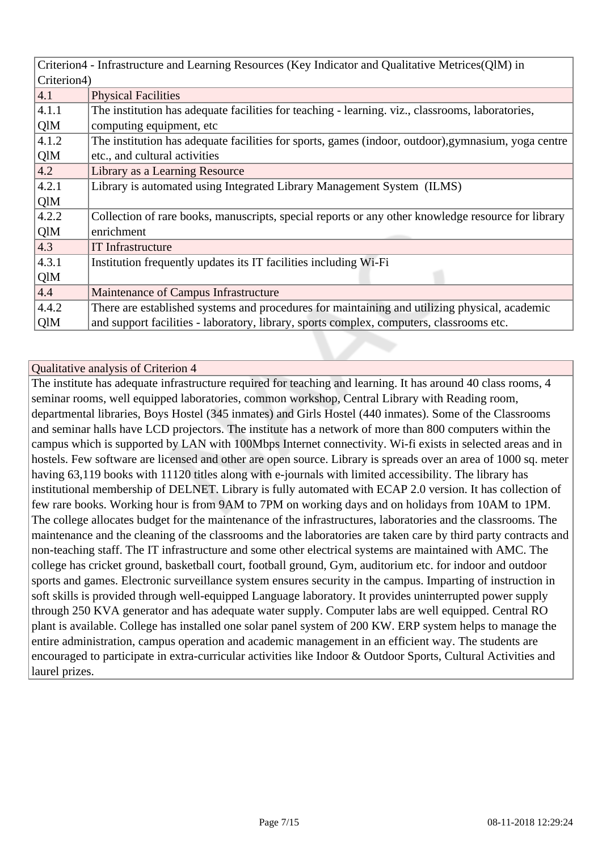|                                                                                                              | Criterion4 - Infrastructure and Learning Resources (Key Indicator and Qualitative Metrices (QIM) in |  |  |
|--------------------------------------------------------------------------------------------------------------|-----------------------------------------------------------------------------------------------------|--|--|
|                                                                                                              | Criterion4)                                                                                         |  |  |
| 4.1                                                                                                          | <b>Physical Facilities</b>                                                                          |  |  |
| 4.1.1                                                                                                        | The institution has adequate facilities for teaching - learning. viz., classrooms, laboratories,    |  |  |
| QlM                                                                                                          | computing equipment, etc.                                                                           |  |  |
| 4.1.2<br>The institution has adequate facilities for sports, games (indoor, outdoor), gymnasium, yoga centre |                                                                                                     |  |  |
| QlM                                                                                                          | etc., and cultural activities                                                                       |  |  |
| 4.2                                                                                                          | Library as a Learning Resource                                                                      |  |  |
| 4.2.1                                                                                                        | Library is automated using Integrated Library Management System (ILMS)                              |  |  |
| QlM                                                                                                          |                                                                                                     |  |  |
| 4.2.2                                                                                                        | Collection of rare books, manuscripts, special reports or any other knowledge resource for library  |  |  |
| QlM<br>enrichment                                                                                            |                                                                                                     |  |  |
| 4.3                                                                                                          | <b>IT</b> Infrastructure                                                                            |  |  |
| 4.3.1                                                                                                        | Institution frequently updates its IT facilities including Wi-Fi                                    |  |  |
| QlM                                                                                                          |                                                                                                     |  |  |
| 4.4                                                                                                          | Maintenance of Campus Infrastructure                                                                |  |  |
| 4.4.2                                                                                                        | There are established systems and procedures for maintaining and utilizing physical, academic       |  |  |
| QlM                                                                                                          | and support facilities - laboratory, library, sports complex, computers, classrooms etc.            |  |  |

The institute has adequate infrastructure required for teaching and learning. It has around 40 class rooms, 4 seminar rooms, well equipped laboratories, common workshop, Central Library with Reading room, departmental libraries, Boys Hostel (345 inmates) and Girls Hostel (440 inmates). Some of the Classrooms and seminar halls have LCD projectors. The institute has a network of more than 800 computers within the campus which is supported by LAN with 100Mbps Internet connectivity. Wi-fi exists in selected areas and in hostels. Few software are licensed and other are open source. Library is spreads over an area of 1000 sq. meter having 63,119 books with 11120 titles along with e-journals with limited accessibility. The library has institutional membership of DELNET. Library is fully automated with ECAP 2.0 version. It has collection of few rare books. Working hour is from 9AM to 7PM on working days and on holidays from 10AM to 1PM. The college allocates budget for the maintenance of the infrastructures, laboratories and the classrooms. The maintenance and the cleaning of the classrooms and the laboratories are taken care by third party contracts and non-teaching staff. The IT infrastructure and some other electrical systems are maintained with AMC. The college has cricket ground, basketball court, football ground, Gym, auditorium etc. for indoor and outdoor sports and games. Electronic surveillance system ensures security in the campus. Imparting of instruction in soft skills is provided through well-equipped Language laboratory. It provides uninterrupted power supply through 250 KVA generator and has adequate water supply. Computer labs are well equipped. Central RO plant is available. College has installed one solar panel system of 200 KW. ERP system helps to manage the entire administration, campus operation and academic management in an efficient way. The students are encouraged to participate in extra-curricular activities like Indoor & Outdoor Sports, Cultural Activities and laurel prizes.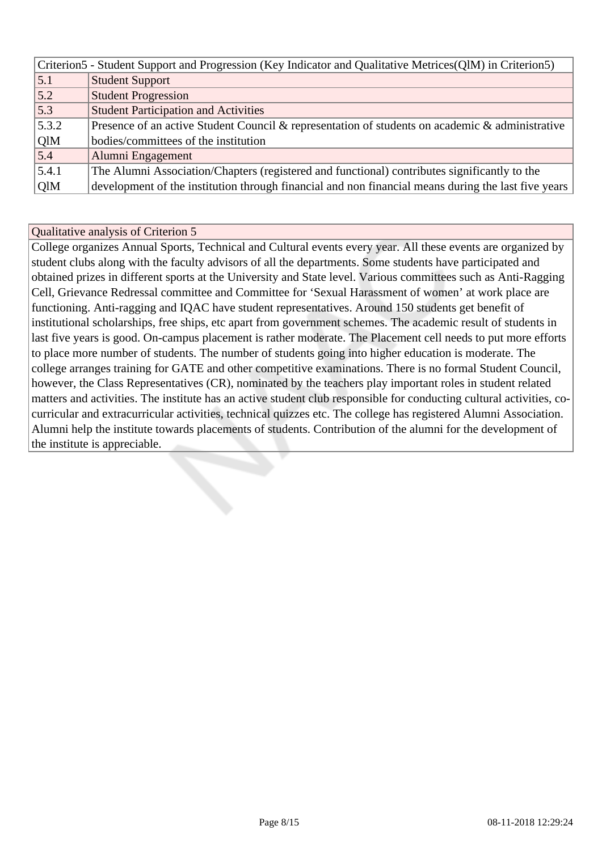|       | Criterion5 - Student Support and Progression (Key Indicator and Qualitative Metrices (QIM) in Criterion5) |                                                                                                     |  |  |
|-------|-----------------------------------------------------------------------------------------------------------|-----------------------------------------------------------------------------------------------------|--|--|
|       | 5.1                                                                                                       | <b>Student Support</b>                                                                              |  |  |
|       | 5.2                                                                                                       | <b>Student Progression</b>                                                                          |  |  |
|       | 5.3                                                                                                       | <b>Student Participation and Activities</b>                                                         |  |  |
| 5.3.2 |                                                                                                           | Presence of an active Student Council & representation of students on academic & administrative     |  |  |
|       | QlM                                                                                                       | bodies/committees of the institution                                                                |  |  |
|       | 5.4                                                                                                       | Alumni Engagement                                                                                   |  |  |
| 5.4.1 |                                                                                                           | The Alumni Association/Chapters (registered and functional) contributes significantly to the        |  |  |
|       | QlM                                                                                                       | development of the institution through financial and non financial means during the last five years |  |  |

College organizes Annual Sports, Technical and Cultural events every year. All these events are organized by student clubs along with the faculty advisors of all the departments. Some students have participated and obtained prizes in different sports at the University and State level. Various committees such as Anti-Ragging Cell, Grievance Redressal committee and Committee for 'Sexual Harassment of women' at work place are functioning. Anti-ragging and IQAC have student representatives. Around 150 students get benefit of institutional scholarships, free ships, etc apart from government schemes. The academic result of students in last five years is good. On-campus placement is rather moderate. The Placement cell needs to put more efforts to place more number of students. The number of students going into higher education is moderate. The college arranges training for GATE and other competitive examinations. There is no formal Student Council, however, the Class Representatives (CR), nominated by the teachers play important roles in student related matters and activities. The institute has an active student club responsible for conducting cultural activities, cocurricular and extracurricular activities, technical quizzes etc. The college has registered Alumni Association. Alumni help the institute towards placements of students. Contribution of the alumni for the development of the institute is appreciable.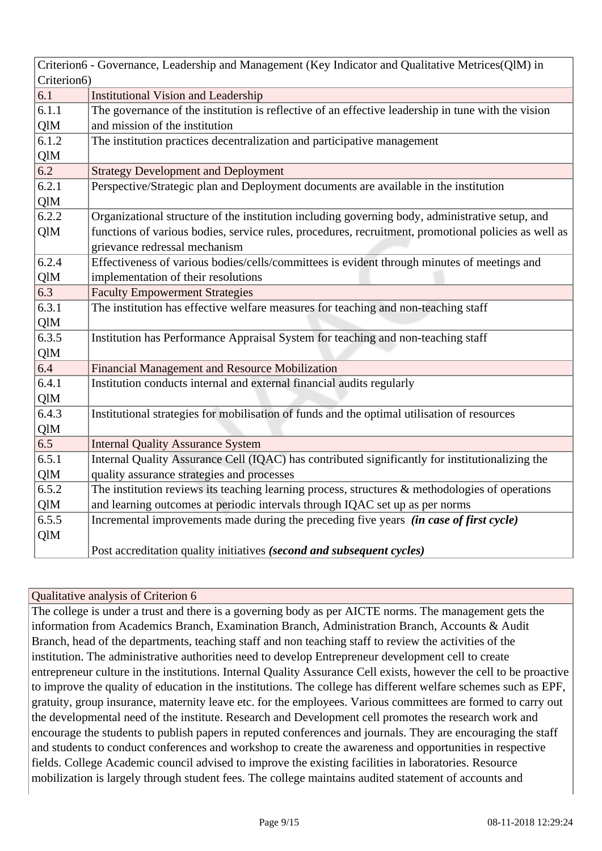|            | Criterion6 - Governance, Leadership and Management (Key Indicator and Qualitative Metrices(QlM) in   |  |  |  |
|------------|------------------------------------------------------------------------------------------------------|--|--|--|
|            | Criterion6)                                                                                          |  |  |  |
| 6.1        | <b>Institutional Vision and Leadership</b>                                                           |  |  |  |
| 6.1.1      | The governance of the institution is reflective of an effective leadership in tune with the vision   |  |  |  |
| QlM        | and mission of the institution                                                                       |  |  |  |
| 6.1.2      | The institution practices decentralization and participative management                              |  |  |  |
| QlM        |                                                                                                      |  |  |  |
| 6.2        | <b>Strategy Development and Deployment</b>                                                           |  |  |  |
| 6.2.1      | Perspective/Strategic plan and Deployment documents are available in the institution                 |  |  |  |
| QlM        |                                                                                                      |  |  |  |
| 6.2.2      | Organizational structure of the institution including governing body, administrative setup, and      |  |  |  |
| QlM        | functions of various bodies, service rules, procedures, recruitment, promotional policies as well as |  |  |  |
|            | grievance redressal mechanism                                                                        |  |  |  |
| 6.2.4      | Effectiveness of various bodies/cells/committees is evident through minutes of meetings and          |  |  |  |
| QlM        | implementation of their resolutions                                                                  |  |  |  |
| 6.3        | <b>Faculty Empowerment Strategies</b>                                                                |  |  |  |
| 6.3.1      | The institution has effective welfare measures for teaching and non-teaching staff                   |  |  |  |
| QlM        |                                                                                                      |  |  |  |
| 6.3.5      | Institution has Performance Appraisal System for teaching and non-teaching staff                     |  |  |  |
| QlM        |                                                                                                      |  |  |  |
| 6.4        | Financial Management and Resource Mobilization                                                       |  |  |  |
| 6.4.1      | Institution conducts internal and external financial audits regularly                                |  |  |  |
| QlM        |                                                                                                      |  |  |  |
| 6.4.3      | Institutional strategies for mobilisation of funds and the optimal utilisation of resources          |  |  |  |
| QlM        |                                                                                                      |  |  |  |
| 6.5        | <b>Internal Quality Assurance System</b>                                                             |  |  |  |
| 6.5.1      | Internal Quality Assurance Cell (IQAC) has contributed significantly for institutionalizing the      |  |  |  |
| QlM        | quality assurance strategies and processes                                                           |  |  |  |
| 6.5.2      | The institution reviews its teaching learning process, structures $\&$ methodologies of operations   |  |  |  |
| <b>QlM</b> | and learning outcomes at periodic intervals through IQAC set up as per norms                         |  |  |  |
| 6.5.5      | Incremental improvements made during the preceding five years (in case of first cycle)               |  |  |  |
| QlM        |                                                                                                      |  |  |  |
|            | Post accreditation quality initiatives (second and subsequent cycles)                                |  |  |  |

The college is under a trust and there is a governing body as per AICTE norms. The management gets the information from Academics Branch, Examination Branch, Administration Branch, Accounts & Audit Branch, head of the departments, teaching staff and non teaching staff to review the activities of the institution. The administrative authorities need to develop Entrepreneur development cell to create entrepreneur culture in the institutions. Internal Quality Assurance Cell exists, however the cell to be proactive to improve the quality of education in the institutions. The college has different welfare schemes such as EPF, gratuity, group insurance, maternity leave etc. for the employees. Various committees are formed to carry out the developmental need of the institute. Research and Development cell promotes the research work and encourage the students to publish papers in reputed conferences and journals. They are encouraging the staff and students to conduct conferences and workshop to create the awareness and opportunities in respective fields. College Academic council advised to improve the existing facilities in laboratories. Resource mobilization is largely through student fees. The college maintains audited statement of accounts and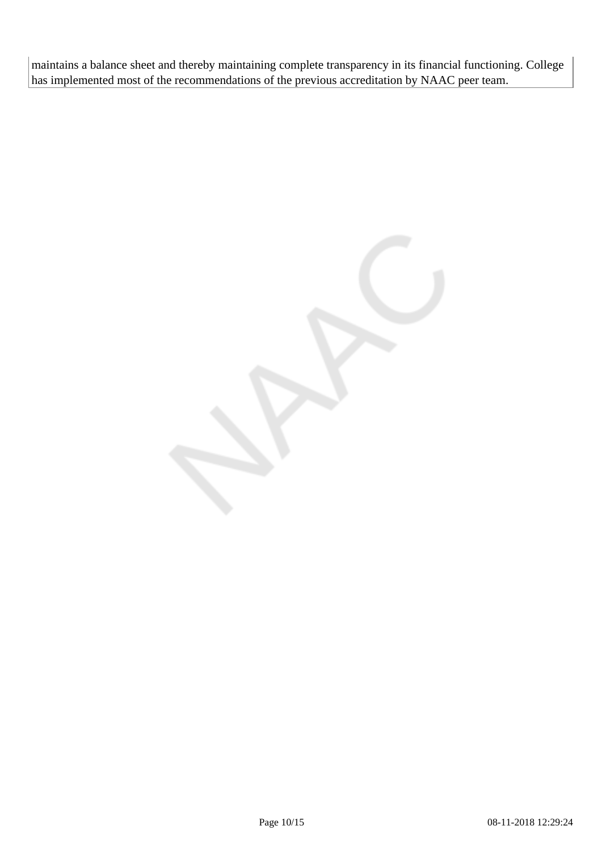maintains a balance sheet and thereby maintaining complete transparency in its financial functioning. College has implemented most of the recommendations of the previous accreditation by NAAC peer team.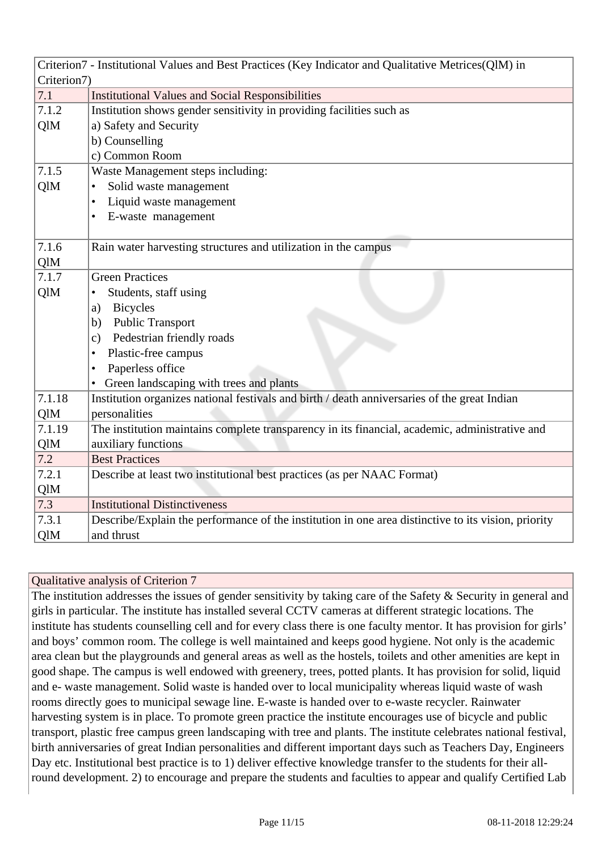| Criterion7 - Institutional Values and Best Practices (Key Indicator and Qualitative Metrices(QlM) in     |                                                                                                     |  |  |  |
|----------------------------------------------------------------------------------------------------------|-----------------------------------------------------------------------------------------------------|--|--|--|
|                                                                                                          | Criterion7)                                                                                         |  |  |  |
| 7.1                                                                                                      | <b>Institutional Values and Social Responsibilities</b>                                             |  |  |  |
| 7.1.2                                                                                                    | Institution shows gender sensitivity in providing facilities such as                                |  |  |  |
| QlM                                                                                                      | a) Safety and Security                                                                              |  |  |  |
|                                                                                                          | b) Counselling                                                                                      |  |  |  |
| c) Common Room                                                                                           |                                                                                                     |  |  |  |
| 7.1.5                                                                                                    | Waste Management steps including:                                                                   |  |  |  |
| QlM                                                                                                      | Solid waste management<br>$\bullet$                                                                 |  |  |  |
|                                                                                                          | Liquid waste management<br>$\bullet$                                                                |  |  |  |
|                                                                                                          | E-waste management                                                                                  |  |  |  |
|                                                                                                          |                                                                                                     |  |  |  |
| 7.1.6                                                                                                    | Rain water harvesting structures and utilization in the campus                                      |  |  |  |
| QlM                                                                                                      |                                                                                                     |  |  |  |
| 7.1.7                                                                                                    | <b>Green Practices</b>                                                                              |  |  |  |
| QlM<br>Students, staff using                                                                             |                                                                                                     |  |  |  |
|                                                                                                          | <b>Bicycles</b><br>a)                                                                               |  |  |  |
|                                                                                                          | <b>Public Transport</b><br>b)                                                                       |  |  |  |
|                                                                                                          | Pedestrian friendly roads<br>$\mathcal{C}$ )                                                        |  |  |  |
|                                                                                                          | Plastic-free campus<br>$\bullet$                                                                    |  |  |  |
|                                                                                                          | Paperless office<br>$\bullet$                                                                       |  |  |  |
|                                                                                                          | Green landscaping with trees and plants                                                             |  |  |  |
| 7.1.18                                                                                                   | Institution organizes national festivals and birth / death anniversaries of the great Indian        |  |  |  |
| QlM<br>personalities                                                                                     |                                                                                                     |  |  |  |
| The institution maintains complete transparency in its financial, academic, administrative and<br>7.1.19 |                                                                                                     |  |  |  |
| QlM                                                                                                      | auxiliary functions                                                                                 |  |  |  |
| 7.2                                                                                                      | <b>Best Practices</b>                                                                               |  |  |  |
| 7.2.1                                                                                                    | Describe at least two institutional best practices (as per NAAC Format)                             |  |  |  |
| QlM                                                                                                      |                                                                                                     |  |  |  |
| 7.3                                                                                                      | <b>Institutional Distinctiveness</b>                                                                |  |  |  |
| 7.3.1                                                                                                    | Describe/Explain the performance of the institution in one area distinctive to its vision, priority |  |  |  |
| QlM                                                                                                      | and thrust                                                                                          |  |  |  |

The institution addresses the issues of gender sensitivity by taking care of the Safety & Security in general and girls in particular. The institute has installed several CCTV cameras at different strategic locations. The institute has students counselling cell and for every class there is one faculty mentor. It has provision for girls' and boys' common room. The college is well maintained and keeps good hygiene. Not only is the academic area clean but the playgrounds and general areas as well as the hostels, toilets and other amenities are kept in good shape. The campus is well endowed with greenery, trees, potted plants. It has provision for solid, liquid and e- waste management. Solid waste is handed over to local municipality whereas liquid waste of wash rooms directly goes to municipal sewage line. E-waste is handed over to e-waste recycler. Rainwater harvesting system is in place. To promote green practice the institute encourages use of bicycle and public transport, plastic free campus green landscaping with tree and plants. The institute celebrates national festival, birth anniversaries of great Indian personalities and different important days such as Teachers Day, Engineers Day etc. Institutional best practice is to 1) deliver effective knowledge transfer to the students for their allround development. 2) to encourage and prepare the students and faculties to appear and qualify Certified Lab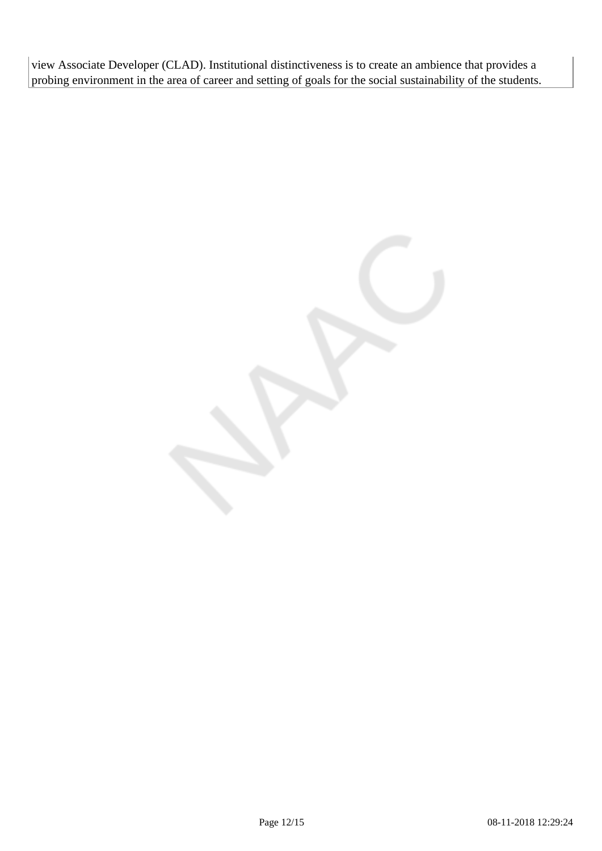view Associate Developer (CLAD). Institutional distinctiveness is to create an ambience that provides a probing environment in the area of career and setting of goals for the social sustainability of the students.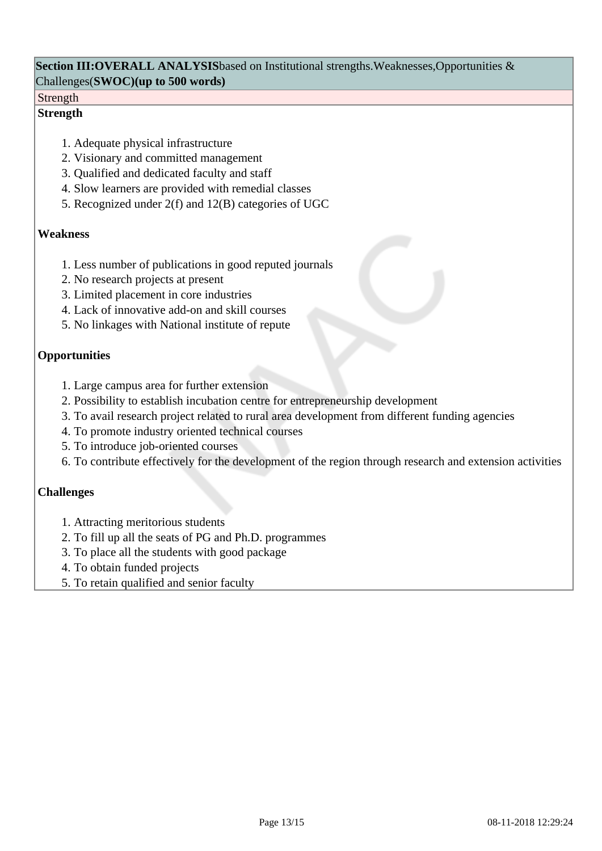#### **Section III:OVERALL ANALYSIS**based on Institutional strengths.Weaknesses,Opportunities & Challenges(**SWOC)(up to 500 words)**

#### Strength

#### **Strength**

- 1. Adequate physical infrastructure
- 2. Visionary and committed management
- 3. Qualified and dedicated faculty and staff
- 4. Slow learners are provided with remedial classes
- 5. Recognized under 2(f) and 12(B) categories of UGC

#### **Weakness**

- 1. Less number of publications in good reputed journals
- 2. No research projects at present
- 3. Limited placement in core industries
- 4. Lack of innovative add-on and skill courses
- 5. No linkages with National institute of repute

### **Opportunities**

- 1. Large campus area for further extension
- 2. Possibility to establish incubation centre for entrepreneurship development
- 3. To avail research project related to rural area development from different funding agencies
- 4. To promote industry oriented technical courses
- 5. To introduce job-oriented courses
- 6. To contribute effectively for the development of the region through research and extension activities

## **Challenges**

- 1. Attracting meritorious students
- 2. To fill up all the seats of PG and Ph.D. programmes
- 3. To place all the students with good package
- 4. To obtain funded projects
- 5. To retain qualified and senior faculty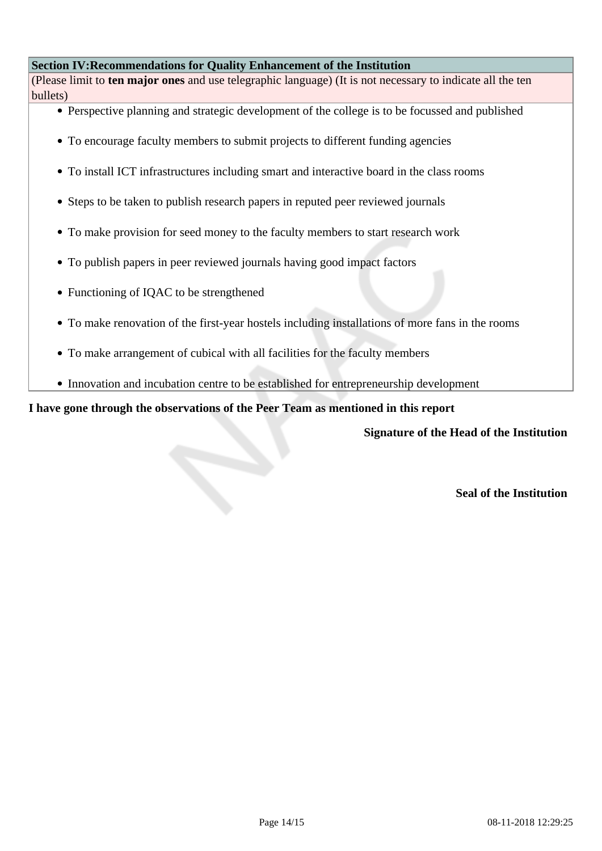#### **Section IV:Recommendations for Quality Enhancement of the Institution**

(Please limit to **ten major ones** and use telegraphic language) (It is not necessary to indicate all the ten bullets)

- Perspective planning and strategic development of the college is to be focussed and published
- To encourage faculty members to submit projects to different funding agencies
- To install ICT infrastructures including smart and interactive board in the class rooms
- Steps to be taken to publish research papers in reputed peer reviewed journals
- To make provision for seed money to the faculty members to start research work
- To publish papers in peer reviewed journals having good impact factors
- Functioning of IQAC to be strengthened
- To make renovation of the first-year hostels including installations of more fans in the rooms
- To make arrangement of cubical with all facilities for the faculty members
- Innovation and incubation centre to be established for entrepreneurship development

#### **I have gone through the observations of the Peer Team as mentioned in this report**

**Signature of the Head of the Institution**

**Seal of the Institution**